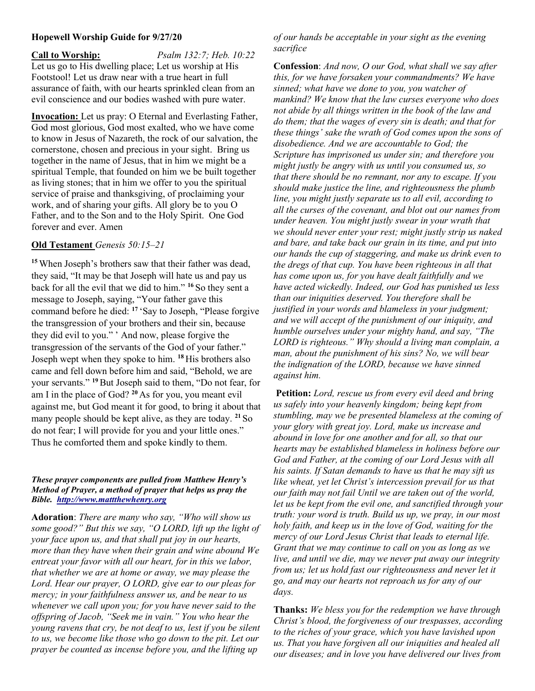## Hopewell Worship Guide for 9/27/20

Call to Worship: *Psalm 132:7; Heb. 10:22* Let us go to His dwelling place; Let us worship at His Footstool! Let us draw near with a true heart in full assurance of faith, with our hearts sprinkled clean from an evil conscience and our bodies washed with pure water.

Invocation: Let us pray: O Eternal and Everlasting Father, God most glorious, God most exalted, who we have come to know in Jesus of Nazareth, the rock of our salvation, the cornerstone, chosen and precious in your sight. Bring us together in the name of Jesus, that in him we might be a spiritual Temple, that founded on him we be built together as living stones; that in him we offer to you the spiritual service of praise and thanksgiving, of proclaiming your work, and of sharing your gifts. All glory be to you O Father, and to the Son and to the Holy Spirit. One God forever and ever. Amen

## Old Testament Genesis 50:15–21

<sup>15</sup>When Joseph's brothers saw that their father was dead, they said, "It may be that Joseph will hate us and pay us back for all the evil that we did to him." <sup>16</sup> So they sent a message to Joseph, saying, "Your father gave this command before he died: <sup>17</sup> 'Say to Joseph, "Please forgive the transgression of your brothers and their sin, because they did evil to you." ' And now, please forgive the transgression of the servants of the God of your father." Joseph wept when they spoke to him. <sup>18</sup>His brothers also came and fell down before him and said, "Behold, we are your servants." <sup>19</sup> But Joseph said to them, "Do not fear, for am I in the place of God?  $^{20}$  As for you, you meant evil against me, but God meant it for good, to bring it about that many people should be kept alive, as they are today.  $^{21}$  So do not fear; I will provide for you and your little ones." Thus he comforted them and spoke kindly to them.

## These prayer components are pulled from Matthew Henry's Method of Prayer, a method of prayer that helps us pray the Bible. http://www.mattthewhenry.org

Adoration: There are many who say, "Who will show us some good?" But this we say, "O LORD, lift up the light of your face upon us, and that shall put joy in our hearts, more than they have when their grain and wine abound We entreat your favor with all our heart, for in this we labor, that whether we are at home or away, we may please the Lord. Hear our prayer, O LORD, give ear to our pleas for mercy; in your faithfulness answer us, and be near to us whenever we call upon you; for you have never said to the offspring of Jacob, "Seek me in vain." You who hear the young ravens that cry, be not deaf to us, lest if you be silent to us, we become like those who go down to the pit. Let our prayer be counted as incense before you, and the lifting up

of our hands be acceptable in your sight as the evening sacrifice

Confession: And now, O our God, what shall we say after this, for we have forsaken your commandments? We have sinned; what have we done to you, you watcher of mankind? We know that the law curses everyone who does not abide by all things written in the book of the law and do them; that the wages of every sin is death; and that for these things' sake the wrath of God comes upon the sons of disobedience. And we are accountable to God; the Scripture has imprisoned us under sin; and therefore you might justly be angry with us until you consumed us, so that there should be no remnant, nor any to escape. If you should make justice the line, and righteousness the plumb line, you might justly separate us to all evil, according to all the curses of the covenant, and blot out our names from under heaven. You might justly swear in your wrath that we should never enter your rest; might justly strip us naked and bare, and take back our grain in its time, and put into our hands the cup of staggering, and make us drink even to the dregs of that cup. You have been righteous in all that has come upon us, for you have dealt faithfully and we have acted wickedly. Indeed, our God has punished us less than our iniquities deserved. You therefore shall be justified in your words and blameless in your judgment; and we will accept of the punishment of our iniquity, and humble ourselves under your mighty hand, and say, "The LORD is righteous." Why should a living man complain, a man, about the punishment of his sins? No, we will bear the indignation of the LORD, because we have sinned against him.

Petition: Lord, rescue us from every evil deed and bring us safely into your heavenly kingdom; being kept from stumbling, may we be presented blameless at the coming of your glory with great joy. Lord, make us increase and abound in love for one another and for all, so that our hearts may be established blameless in holiness before our God and Father, at the coming of our Lord Jesus with all his saints. If Satan demands to have us that he may sift us like wheat, yet let Christ's intercession prevail for us that our faith may not fail Until we are taken out of the world, let us be kept from the evil one, and sanctified through your truth: your word is truth. Build us up, we pray, in our most holy faith, and keep us in the love of God, waiting for the mercy of our Lord Jesus Christ that leads to eternal life. Grant that we may continue to call on you as long as we live, and until we die, may we never put away our integrity from us; let us hold fast our righteousness and never let it go, and may our hearts not reproach us for any of our days.

Thanks: We bless you for the redemption we have through Christ's blood, the forgiveness of our trespasses, according to the riches of your grace, which you have lavished upon us. That you have forgiven all our iniquities and healed all our diseases; and in love you have delivered our lives from